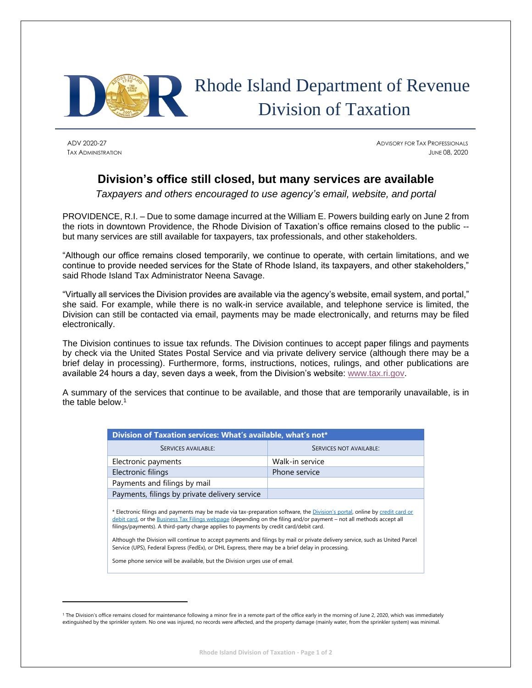

## Rhode Island Department of Revenue Division of Taxation

ADV 2020-27 ADVISORY FOR TAX PROFESSIONALS TAX ADMINISTRATION JUNE 08, 2020

## **Division's office still closed, but many services are available**

*Taxpayers and others encouraged to use agency's email, website, and portal*

PROVIDENCE, R.I. – Due to some damage incurred at the William E. Powers building early on June 2 from the riots in downtown Providence, the Rhode Division of Taxation's office remains closed to the public - but many services are still available for taxpayers, tax professionals, and other stakeholders.

"Although our office remains closed temporarily, we continue to operate, with certain limitations, and we continue to provide needed services for the State of Rhode Island, its taxpayers, and other stakeholders," said Rhode Island Tax Administrator Neena Savage.

"Virtually all services the Division provides are available via the agency's website, email system, and portal," she said. For example, while there is no walk-in service available, and telephone service is limited, the Division can still be contacted via email, payments may be made electronically, and returns may be filed electronically.

The Division continues to issue tax refunds. The Division continues to accept paper filings and payments by check via the United States Postal Service and via private delivery service (although there may be a brief delay in processing). Furthermore, forms, instructions, notices, rulings, and other publications are available 24 hours a day, seven days a week, from the Division's website: [www.tax.ri.gov.](http://www.tax.ri.gov/)

A summary of the services that continue to be available, and those that are temporarily unavailable, is in the table below.<sup>1</sup>

| Division of Taxation services: What's available, what's not*                                                                                                                                                                                                                                                                                          |                         |
|-------------------------------------------------------------------------------------------------------------------------------------------------------------------------------------------------------------------------------------------------------------------------------------------------------------------------------------------------------|-------------------------|
| <b>SERVICES AVAILABLE:</b>                                                                                                                                                                                                                                                                                                                            | SERVICES NOT AVAILABLE: |
| Electronic payments                                                                                                                                                                                                                                                                                                                                   | Walk-in service         |
| Electronic filings                                                                                                                                                                                                                                                                                                                                    | Phone service           |
| Payments and filings by mail                                                                                                                                                                                                                                                                                                                          |                         |
| Payments, filings by private delivery service                                                                                                                                                                                                                                                                                                         |                         |
| * Electronic filings and payments may be made via tax-preparation software, the <i>Division's portal</i> , online by credit card or<br>debit card, or the Business Tax Filings webpage (depending on the filing and/or payment – not all methods accept all<br>filings/payments). A third-party charge applies to payments by credit card/debit card. |                         |
| Although the Division will continue to accept payments and filings by mail or private delivery service, such as United Parcel<br>Service (UPS), Federal Express (FedEx), or DHL Express, there may be a brief delay in processing.                                                                                                                    |                         |
| Some phone service will be available, but the Division urges use of email.                                                                                                                                                                                                                                                                            |                         |

<sup>&</sup>lt;sup>1</sup> The Division's office remains closed for maintenance following a minor fire in a remote part of the office early in the morning of June 2, 2020, which was immediately extinguished by the sprinkler system. No one was injured, no records were affected, and the property damage (mainly water, from the sprinkler system) was minimal.